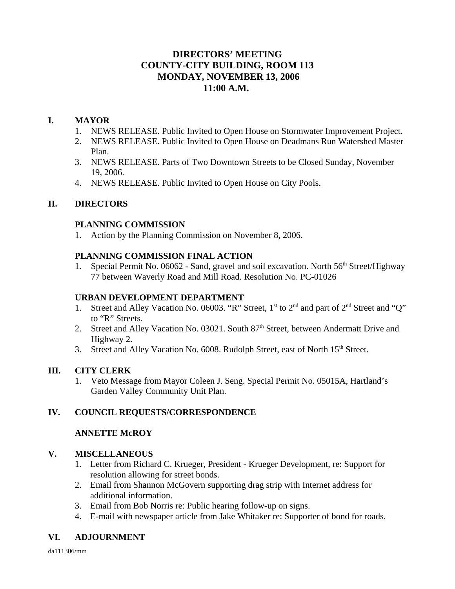# **DIRECTORS' MEETING COUNTY-CITY BUILDING, ROOM 113 MONDAY, NOVEMBER 13, 2006 11:00 A.M.**

# **I. MAYOR**

- 1. NEWS RELEASE. Public Invited to Open House on Stormwater Improvement Project.
- 2. NEWS RELEASE. Public Invited to Open House on Deadmans Run Watershed Master Plan.
- 3. NEWS RELEASE. Parts of Two Downtown Streets to be Closed Sunday, November 19, 2006.
- 4. NEWS RELEASE. Public Invited to Open House on City Pools.

# **II. DIRECTORS**

## **PLANNING COMMISSION**

1. Action by the Planning Commission on November 8, 2006.

## **PLANNING COMMISSION FINAL ACTION**

1. Special Permit No. 06062 - Sand, gravel and soil excavation. North 56<sup>th</sup> Street/Highway 77 between Waverly Road and Mill Road. Resolution No. PC-01026

### **URBAN DEVELOPMENT DEPARTMENT**

- 1. Street and Alley Vacation No. 06003. "R" Street, 1<sup>st</sup> to 2<sup>nd</sup> and part of 2<sup>nd</sup> Street and "O" to "R" Streets.
- 2. Street and Alley Vacation No. 03021. South 87<sup>th</sup> Street, between Andermatt Drive and Highway 2.
- 3. Street and Alley Vacation No. 6008. Rudolph Street, east of North 15<sup>th</sup> Street.

# **III. CITY CLERK**

1. Veto Message from Mayor Coleen J. Seng. Special Permit No. 05015A, Hartland's Garden Valley Community Unit Plan.

# **IV. COUNCIL REQUESTS/CORRESPONDENCE**

# **ANNETTE McROY**

# **V. MISCELLANEOUS**

- 1. Letter from Richard C. Krueger, President Krueger Development, re: Support for resolution allowing for street bonds.
- 2. Email from Shannon McGovern supporting drag strip with Internet address for additional information.
- 3. Email from Bob Norris re: Public hearing follow-up on signs.
- 4. E-mail with newspaper article from Jake Whitaker re: Supporter of bond for roads.

# **VI. ADJOURNMENT**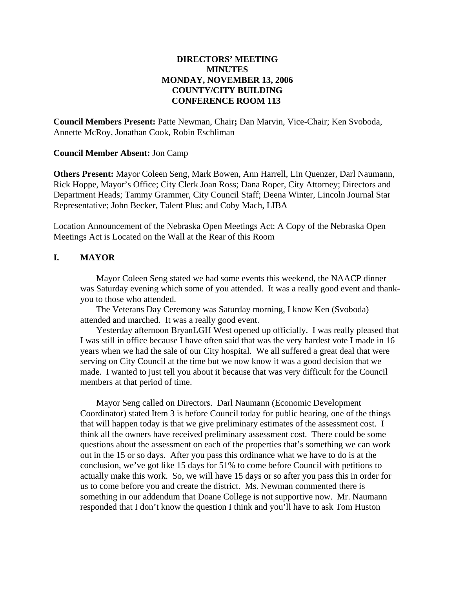### **DIRECTORS' MEETING MINUTES MONDAY, NOVEMBER 13, 2006 COUNTY/CITY BUILDING CONFERENCE ROOM 113**

**Council Members Present:** Patte Newman, Chair**;** Dan Marvin, Vice-Chair; Ken Svoboda, Annette McRoy, Jonathan Cook, Robin Eschliman

#### **Council Member Absent:** Jon Camp

**Others Present:** Mayor Coleen Seng, Mark Bowen, Ann Harrell, Lin Quenzer, Darl Naumann, Rick Hoppe, Mayor's Office; City Clerk Joan Ross; Dana Roper, City Attorney; Directors and Department Heads; Tammy Grammer, City Council Staff; Deena Winter, Lincoln Journal Star Representative; John Becker, Talent Plus; and Coby Mach, LIBA

Location Announcement of the Nebraska Open Meetings Act: A Copy of the Nebraska Open Meetings Act is Located on the Wall at the Rear of this Room

### **I. MAYOR**

Mayor Coleen Seng stated we had some events this weekend, the NAACP dinner was Saturday evening which some of you attended. It was a really good event and thankyou to those who attended.

The Veterans Day Ceremony was Saturday morning, I know Ken (Svoboda) attended and marched. It was a really good event.

Yesterday afternoon BryanLGH West opened up officially. I was really pleased that I was still in office because I have often said that was the very hardest vote I made in 16 years when we had the sale of our City hospital. We all suffered a great deal that were serving on City Council at the time but we now know it was a good decision that we made. I wanted to just tell you about it because that was very difficult for the Council members at that period of time.

Mayor Seng called on Directors. Darl Naumann (Economic Development Coordinator) stated Item 3 is before Council today for public hearing, one of the things that will happen today is that we give preliminary estimates of the assessment cost. I think all the owners have received preliminary assessment cost. There could be some questions about the assessment on each of the properties that's something we can work out in the 15 or so days. After you pass this ordinance what we have to do is at the conclusion, we've got like 15 days for 51% to come before Council with petitions to actually make this work. So, we will have 15 days or so after you pass this in order for us to come before you and create the district. Ms. Newman commented there is something in our addendum that Doane College is not supportive now. Mr. Naumann responded that I don't know the question I think and you'll have to ask Tom Huston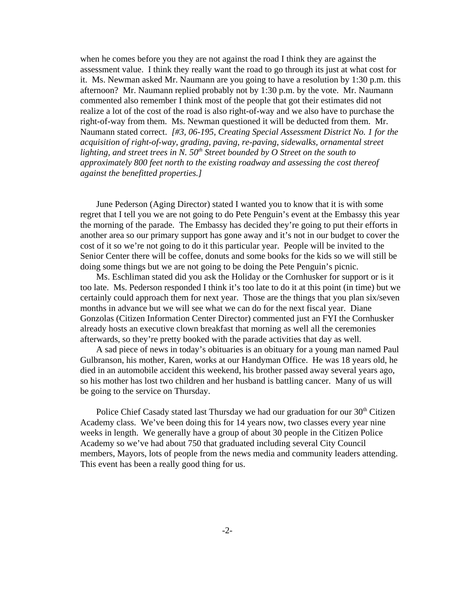when he comes before you they are not against the road I think they are against the assessment value. I think they really want the road to go through its just at what cost for it. Ms. Newman asked Mr. Naumann are you going to have a resolution by 1:30 p.m. this afternoon? Mr. Naumann replied probably not by 1:30 p.m. by the vote. Mr. Naumann commented also remember I think most of the people that got their estimates did not realize a lot of the cost of the road is also right-of-way and we also have to purchase the right-of-way from them. Ms. Newman questioned it will be deducted from them. Mr. Naumann stated correct. *[#3, 06-195, Creating Special Assessment District No. 1 for the acquisition of right-of-way, grading, paving, re-paving, sidewalks, ornamental street lighting, and street trees in N. 50th Street bounded by O Street on the south to approximately 800 feet north to the existing roadway and assessing the cost thereof against the benefitted properties.]* 

June Pederson (Aging Director) stated I wanted you to know that it is with some regret that I tell you we are not going to do Pete Penguin's event at the Embassy this year the morning of the parade. The Embassy has decided they're going to put their efforts in another area so our primary support has gone away and it's not in our budget to cover the cost of it so we're not going to do it this particular year. People will be invited to the Senior Center there will be coffee, donuts and some books for the kids so we will still be doing some things but we are not going to be doing the Pete Penguin's picnic.

Ms. Eschliman stated did you ask the Holiday or the Cornhusker for support or is it too late. Ms. Pederson responded I think it's too late to do it at this point (in time) but we certainly could approach them for next year. Those are the things that you plan six/seven months in advance but we will see what we can do for the next fiscal year. Diane Gonzolas (Citizen Information Center Director) commented just an FYI the Cornhusker already hosts an executive clown breakfast that morning as well all the ceremonies afterwards, so they're pretty booked with the parade activities that day as well.

A sad piece of news in today's obituaries is an obituary for a young man named Paul Gulbranson, his mother, Karen, works at our Handyman Office. He was 18 years old, he died in an automobile accident this weekend, his brother passed away several years ago, so his mother has lost two children and her husband is battling cancer. Many of us will be going to the service on Thursday.

Police Chief Casady stated last Thursday we had our graduation for our 30<sup>th</sup> Citizen Academy class. We've been doing this for 14 years now, two classes every year nine weeks in length. We generally have a group of about 30 people in the Citizen Police Academy so we've had about 750 that graduated including several City Council members, Mayors, lots of people from the news media and community leaders attending. This event has been a really good thing for us.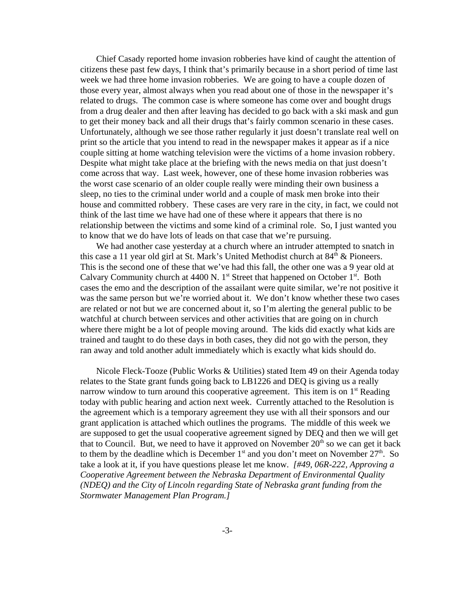Chief Casady reported home invasion robberies have kind of caught the attention of citizens these past few days, I think that's primarily because in a short period of time last week we had three home invasion robberies. We are going to have a couple dozen of those every year, almost always when you read about one of those in the newspaper it's related to drugs. The common case is where someone has come over and bought drugs from a drug dealer and then after leaving has decided to go back with a ski mask and gun to get their money back and all their drugs that's fairly common scenario in these cases. Unfortunately, although we see those rather regularly it just doesn't translate real well on print so the article that you intend to read in the newspaper makes it appear as if a nice couple sitting at home watching television were the victims of a home invasion robbery. Despite what might take place at the briefing with the news media on that just doesn't come across that way. Last week, however, one of these home invasion robberies was the worst case scenario of an older couple really were minding their own business a sleep, no ties to the criminal under world and a couple of mask men broke into their house and committed robbery. These cases are very rare in the city, in fact, we could not think of the last time we have had one of these where it appears that there is no relationship between the victims and some kind of a criminal role. So, I just wanted you to know that we do have lots of leads on that case that we're pursuing.

We had another case yesterday at a church where an intruder attempted to snatch in this case a 11 year old girl at St. Mark's United Methodist church at  $84<sup>th</sup>$  & Pioneers. This is the second one of these that we've had this fall, the other one was a 9 year old at Calvary Community church at 4400 N.  $1<sup>st</sup>$  Street that happened on October  $1<sup>st</sup>$ . Both cases the emo and the description of the assailant were quite similar, we're not positive it was the same person but we're worried about it. We don't know whether these two cases are related or not but we are concerned about it, so I'm alerting the general public to be watchful at church between services and other activities that are going on in church where there might be a lot of people moving around. The kids did exactly what kids are trained and taught to do these days in both cases, they did not go with the person, they ran away and told another adult immediately which is exactly what kids should do.

Nicole Fleck-Tooze (Public Works & Utilities) stated Item 49 on their Agenda today relates to the State grant funds going back to LB1226 and DEQ is giving us a really narrow window to turn around this cooperative agreement. This item is on  $1<sup>st</sup>$  Reading today with public hearing and action next week. Currently attached to the Resolution is the agreement which is a temporary agreement they use with all their sponsors and our grant application is attached which outlines the programs. The middle of this week we are supposed to get the usual cooperative agreement signed by DEQ and then we will get that to Council. But, we need to have it approved on November  $20<sup>th</sup>$  so we can get it back to them by the deadline which is December  $1<sup>st</sup>$  and you don't meet on November  $27<sup>th</sup>$ . So take a look at it, if you have questions please let me know. *[#49, 06R-222, Approving a Cooperative Agreement between the Nebraska Department of Environmental Quality (NDEQ) and the City of Lincoln regarding State of Nebraska grant funding from the Stormwater Management Plan Program.]*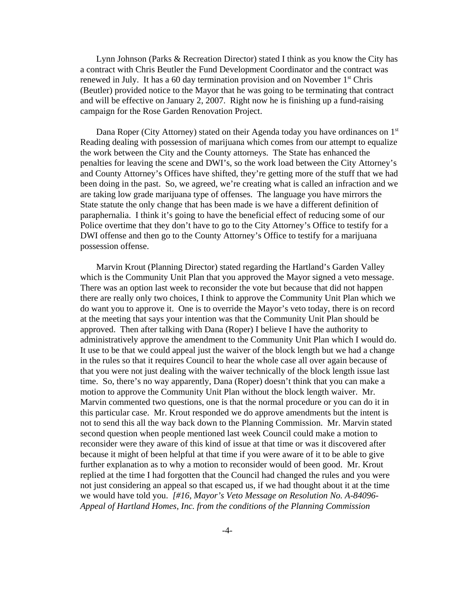Lynn Johnson (Parks & Recreation Director) stated I think as you know the City has a contract with Chris Beutler the Fund Development Coordinator and the contract was renewed in July. It has a 60 day termination provision and on November  $1<sup>st</sup>$  Chris (Beutler) provided notice to the Mayor that he was going to be terminating that contract and will be effective on January 2, 2007. Right now he is finishing up a fund-raising campaign for the Rose Garden Renovation Project.

Dana Roper (City Attorney) stated on their Agenda today you have ordinances on 1<sup>st</sup> Reading dealing with possession of marijuana which comes from our attempt to equalize the work between the City and the County attorneys. The State has enhanced the penalties for leaving the scene and DWI's, so the work load between the City Attorney's and County Attorney's Offices have shifted, they're getting more of the stuff that we had been doing in the past. So, we agreed, we're creating what is called an infraction and we are taking low grade marijuana type of offenses. The language you have mirrors the State statute the only change that has been made is we have a different definition of paraphernalia. I think it's going to have the beneficial effect of reducing some of our Police overtime that they don't have to go to the City Attorney's Office to testify for a DWI offense and then go to the County Attorney's Office to testify for a marijuana possession offense.

Marvin Krout (Planning Director) stated regarding the Hartland's Garden Valley which is the Community Unit Plan that you approved the Mayor signed a veto message. There was an option last week to reconsider the vote but because that did not happen there are really only two choices, I think to approve the Community Unit Plan which we do want you to approve it. One is to override the Mayor's veto today, there is on record at the meeting that says your intention was that the Community Unit Plan should be approved. Then after talking with Dana (Roper) I believe I have the authority to administratively approve the amendment to the Community Unit Plan which I would do. It use to be that we could appeal just the waiver of the block length but we had a change in the rules so that it requires Council to hear the whole case all over again because of that you were not just dealing with the waiver technically of the block length issue last time. So, there's no way apparently, Dana (Roper) doesn't think that you can make a motion to approve the Community Unit Plan without the block length waiver. Mr. Marvin commented two questions, one is that the normal procedure or you can do it in this particular case. Mr. Krout responded we do approve amendments but the intent is not to send this all the way back down to the Planning Commission. Mr. Marvin stated second question when people mentioned last week Council could make a motion to reconsider were they aware of this kind of issue at that time or was it discovered after because it might of been helpful at that time if you were aware of it to be able to give further explanation as to why a motion to reconsider would of been good. Mr. Krout replied at the time I had forgotten that the Council had changed the rules and you were not just considering an appeal so that escaped us, if we had thought about it at the time we would have told you. *[#16, Mayor's Veto Message on Resolution No. A-84096- Appeal of Hartland Homes, Inc. from the conditions of the Planning Commission*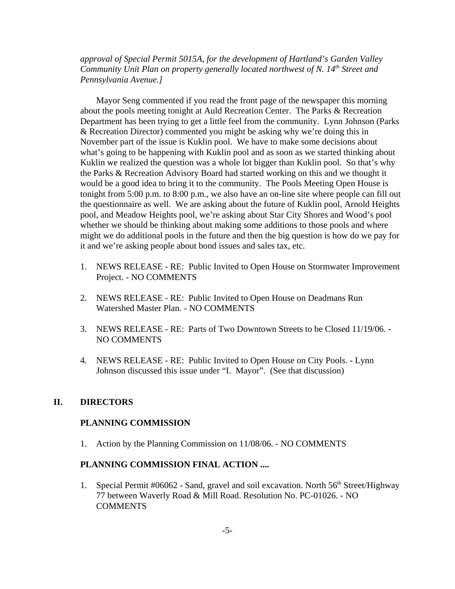*approval of Special Permit 5015A, for the development of Hartland's Garden Valley Community Unit Plan on property generally located northwest of N. 14<sup>th</sup> Street and Pennsylvania Avenue.]* 

Mayor Seng commented if you read the front page of the newspaper this morning about the pools meeting tonight at Auld Recreation Center. The Parks & Recreation Department has been trying to get a little feel from the community. Lynn Johnson (Parks & Recreation Director) commented you might be asking why we're doing this in November part of the issue is Kuklin pool. We have to make some decisions about what's going to be happening with Kuklin pool and as soon as we started thinking about Kuklin we realized the question was a whole lot bigger than Kuklin pool. So that's why the Parks & Recreation Advisory Board had started working on this and we thought it would be a good idea to bring it to the community. The Pools Meeting Open House is tonight from 5:00 p.m. to 8:00 p.m., we also have an on-line site where people can fill out the questionnaire as well. We are asking about the future of Kuklin pool, Arnold Heights pool, and Meadow Heights pool, we're asking about Star City Shores and Wood's pool whether we should be thinking about making some additions to those pools and where might we do additional pools in the future and then the big question is how do we pay for it and we're asking people about bond issues and sales tax, etc.

- 1. NEWS RELEASE RE: Public Invited to Open House on Stormwater Improvement Project. - NO COMMENTS
- 2. NEWS RELEASE RE: Public Invited to Open House on Deadmans Run Watershed Master Plan. - NO COMMENTS
- 3. NEWS RELEASE RE: Parts of Two Downtown Streets to be Closed 11/19/06. NO COMMENTS
- 4. NEWS RELEASE RE: Public Invited to Open House on City Pools. Lynn Johnson discussed this issue under "I. Mayor". (See that discussion)

### **II. DIRECTORS**

#### **PLANNING COMMISSION**

1. Action by the Planning Commission on 11/08/06. - NO COMMENTS

#### **PLANNING COMMISSION FINAL ACTION ....**

1. Special Permit  $\#06062$  - Sand, gravel and soil excavation. North  $56<sup>th</sup>$  Street/Highway 77 between Waverly Road & Mill Road. Resolution No. PC-01026. - NO **COMMENTS**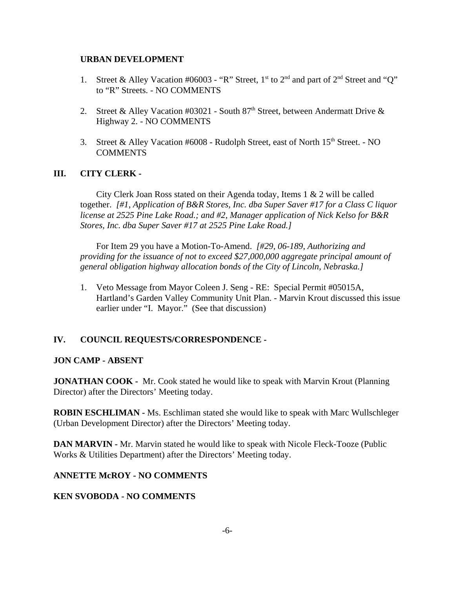#### **URBAN DEVELOPMENT**

- 1. Street & Alley Vacation #06003 "R" Street, 1<sup>st</sup> to 2<sup>nd</sup> and part of 2<sup>nd</sup> Street and "O" to "R" Streets. - NO COMMENTS
- 2. Street & Alley Vacation #03021 South  $87<sup>th</sup>$  Street, between Andermatt Drive & Highway 2. - NO COMMENTS
- 3. Street & Alley Vacation #6008 Rudolph Street, east of North 15<sup>th</sup> Street. NO COMMENTS

### **III. CITY CLERK -**

City Clerk Joan Ross stated on their Agenda today, Items  $1 \& 2$  will be called together. *[#1, Application of B&R Stores, Inc. dba Super Saver #17 for a Class C liquor license at 2525 Pine Lake Road.; and #2, Manager application of Nick Kelso for B&R Stores, Inc. dba Super Saver #17 at 2525 Pine Lake Road.]*

For Item 29 you have a Motion-To-Amend. *[#29, 06-189, Authorizing and providing for the issuance of not to exceed \$27,000,000 aggregate principal amount of general obligation highway allocation bonds of the City of Lincoln, Nebraska.]* 

1. Veto Message from Mayor Coleen J. Seng - RE: Special Permit #05015A, Hartland's Garden Valley Community Unit Plan. - Marvin Krout discussed this issue earlier under "I. Mayor." (See that discussion)

### **IV. COUNCIL REQUESTS/CORRESPONDENCE -**

### **JON CAMP - ABSENT**

**JONATHAN COOK -** Mr. Cook stated he would like to speak with Marvin Krout (Planning Director) after the Directors' Meeting today.

**ROBIN ESCHLIMAN -** Ms. Eschliman stated she would like to speak with Marc Wullschleger (Urban Development Director) after the Directors' Meeting today.

**DAN MARVIN - Mr. Marvin stated he would like to speak with Nicole Fleck-Tooze (Public** Works & Utilities Department) after the Directors' Meeting today.

### **ANNETTE McROY - NO COMMENTS**

### **KEN SVOBODA - NO COMMENTS**